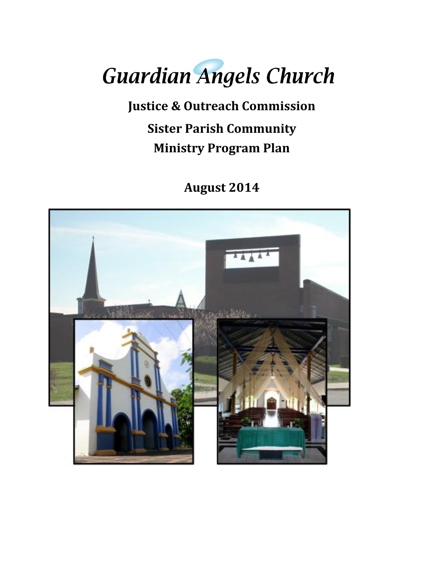# **Guardian Angels Church**

**Justice & Outreach Commission Sister Parish Community Ministry Program Plan**

**August 2014**

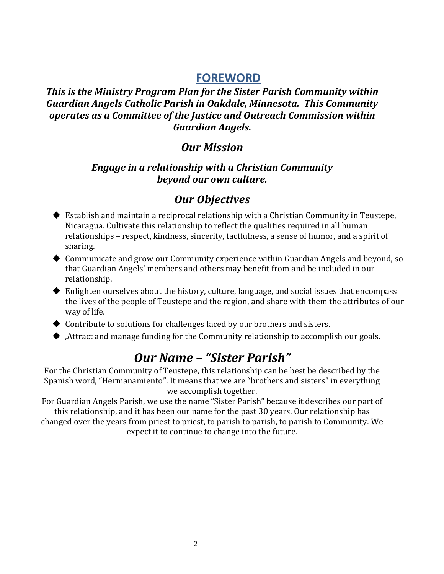### **FOREWORD**

#### *This is the Ministry Program Plan for the Sister Parish Community within Guardian Angels Catholic Parish in Oakdale, Minnesota. This Community operates as a Committee of the Justice and Outreach Commission within Guardian Angels.*

## *Our Mission*

#### *Engage in a relationship with a Christian Community beyond our own culture.*

## *Our Objectives*

- Establish and maintain a reciprocal relationship with a Christian Community in Teustepe, Nicaragua. Cultivate this relationship to reflect the qualities required in all human relationships – respect, kindness, sincerity, tactfulness, a sense of humor, and a spirit of sharing.
- Communicate and grow our Community experience within Guardian Angels and beyond, so that Guardian Angels' members and others may benefit from and be included in our relationship.
- Enlighten ourselves about the history, culture, language, and social issues that encompass the lives of the people of Teustepe and the region, and share with them the attributes of our way of life.
- Contribute to solutions for challenges faced by our brothers and sisters.
- ,Attract and manage funding for the Community relationship to accomplish our goals.

# *Our Name – "Sister Parish"*

For the Christian Community of Teustepe, this relationship can be best be described by the Spanish word, "Hermanamiento". It means that we are "brothers and sisters" in everything we accomplish together.

For Guardian Angels Parish, we use the name "Sister Parish" because it describes our part of this relationship, and it has been our name for the past 30 years. Our relationship has changed over the years from priest to priest, to parish to parish, to parish to Community. We expect it to continue to change into the future.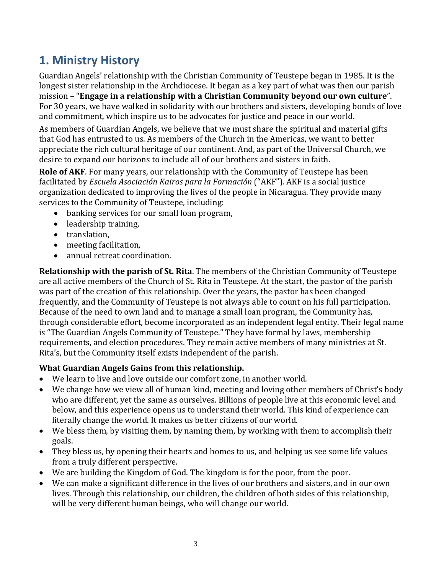## **1. Ministry History**

Guardian Angels' relationship with the Christian Community of Teustepe began in 1985. It is the longest sister relationship in the Archdiocese. It began as a key part of what was then our parish mission – "**Engage in a relationship with a Christian Community beyond our own culture**". For 30 years, we have walked in solidarity with our brothers and sisters, developing bonds of love and commitment, which inspire us to be advocates for justice and peace in our world.

As members of Guardian Angels, we believe that we must share the spiritual and material gifts that God has entrusted to us. As members of the Church in the Americas, we want to better appreciate the rich cultural heritage of our continent. And, as part of the Universal Church, we desire to expand our horizons to include all of our brothers and sisters in faith.

**Role of AKF**. For many years, our relationship with the Community of Teustepe has been facilitated by *Escuela Asociación Kairos para la Formación* ("AKF"). AKF is a social justice organization dedicated to improving the lives of the people in Nicaragua. They provide many services to the Community of Teustepe, including:

- banking services for our small loan program,
- leadership training,
- translation,
- meeting facilitation,
- annual retreat coordination.

**Relationship with the parish of St. Rita**. The members of the Christian Community of Teustepe are all active members of the Church of St. Rita in Teustepe. At the start, the pastor of the parish was part of the creation of this relationship. Over the years, the pastor has been changed frequently, and the Community of Teustepe is not always able to count on his full participation. Because of the need to own land and to manage a small loan program, the Community has, through considerable effort, become incorporated as an independent legal entity. Their legal name is "The Guardian Angels Community of Teustepe." They have formal by laws, membership requirements, and election procedures. They remain active members of many ministries at St. Rita's, but the Community itself exists independent of the parish.

#### **What Guardian Angels Gains from this relationship.**

- We learn to live and love outside our comfort zone, in another world.
- We change how we view all of human kind, meeting and loving other members of Christ's body who are different, yet the same as ourselves. Billions of people live at this economic level and below, and this experience opens us to understand their world. This kind of experience can literally change the world. It makes us better citizens of our world.
- We bless them, by visiting them, by naming them, by working with them to accomplish their goals.
- They bless us, by opening their hearts and homes to us, and helping us see some life values from a truly different perspective.
- We are building the Kingdom of God. The kingdom is for the poor, from the poor.
- We can make a significant difference in the lives of our brothers and sisters, and in our own lives. Through this relationship, our children, the children of both sides of this relationship, will be very different human beings, who will change our world.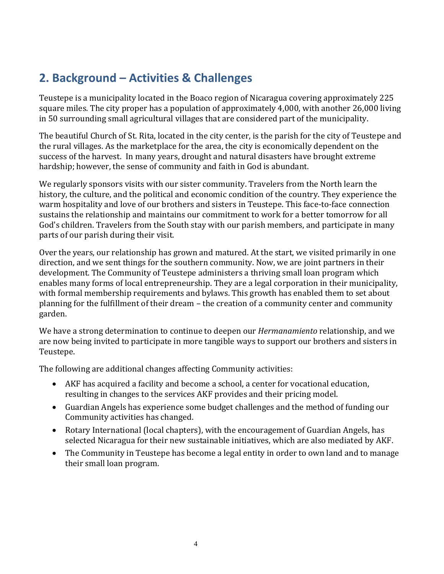# **2. Background – Activities & Challenges**

Teustepe is a municipality located in the Boaco region of Nicaragua covering approximately 225 square miles. The city proper has a population of approximately 4,000, with another 26,000 living in 50 surrounding small agricultural villages that are considered part of the municipality.

The beautiful Church of St. Rita, located in the city center, is the parish for the city of Teustepe and the rural villages. As the marketplace for the area, the city is economically dependent on the success of the harvest. In many years, drought and natural disasters have brought extreme hardship; however, the sense of community and faith in God is abundant.

We regularly sponsors visits with our sister community. Travelers from the North learn the history, the culture, and the political and economic condition of the country. They experience the warm hospitality and love of our brothers and sisters in Teustepe. This face-to-face connection sustains the relationship and maintains our commitment to work for a better tomorrow for all God's children. Travelers from the South stay with our parish members, and participate in many parts of our parish during their visit.

Over the years, our relationship has grown and matured. At the start, we visited primarily in one direction, and we sent things for the southern community. Now, we are joint partners in their development. The Community of Teustepe administers a thriving small loan program which enables many forms of local entrepreneurship. They are a legal corporation in their municipality, with formal membership requirements and bylaws. This growth has enabled them to set about planning for the fulfillment of their dream – the creation of a community center and community garden.

We have a strong determination to continue to deepen our *Hermanamiento* relationship, and we are now being invited to participate in more tangible ways to support our brothers and sisters in Teustepe.

The following are additional changes affecting Community activities:

- AKF has acquired a facility and become a school, a center for vocational education, resulting in changes to the services AKF provides and their pricing model.
- Guardian Angels has experience some budget challenges and the method of funding our Community activities has changed.
- Rotary International (local chapters), with the encouragement of Guardian Angels, has selected Nicaragua for their new sustainable initiatives, which are also mediated by AKF.
- The Community in Teustepe has become a legal entity in order to own land and to manage their small loan program.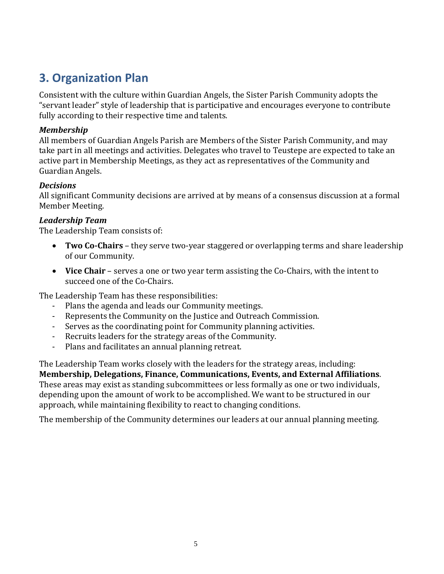## **3. Organization Plan**

Consistent with the culture within Guardian Angels, the Sister Parish Community adopts the "servant leader" style of leadership that is participative and encourages everyone to contribute fully according to their respective time and talents.

#### *Membership*

All members of Guardian Angels Parish are Members of the Sister Parish Community, and may take part in all meetings and activities. Delegates who travel to Teustepe are expected to take an active part in Membership Meetings, as they act as representatives of the Community and Guardian Angels.

#### *Decisions*

All significant Community decisions are arrived at by means of a consensus discussion at a formal Member Meeting.

#### *Leadership Team*

The Leadership Team consists of:

- **Two Co-Chairs** they serve two-year staggered or overlapping terms and share leadership of our Community.
- **Vice Chair** serves a one or two year term assisting the Co-Chairs, with the intent to succeed one of the Co-Chairs.

The Leadership Team has these responsibilities:

- Plans the agenda and leads our Community meetings.
- Represents the Community on the Justice and Outreach Commission.
- Serves as the coordinating point for Community planning activities.
- Recruits leaders for the strategy areas of the Community.
- Plans and facilitates an annual planning retreat.

The Leadership Team works closely with the leaders for the strategy areas, including: **Membership, Delegations, Finance, Communications, Events, and External Affiliations**. These areas may exist as standing subcommittees or less formally as one or two individuals, depending upon the amount of work to be accomplished. We want to be structured in our approach, while maintaining flexibility to react to changing conditions.

The membership of the Community determines our leaders at our annual planning meeting.